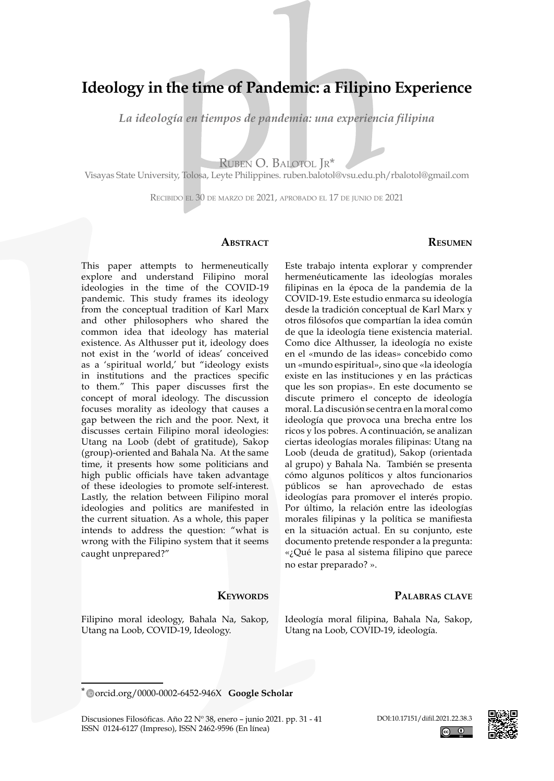# **Ideology in the time of Pandemic: a Filipino Experience**

*La ideología en tiempos de pandemia: una experiencia filipina*

Ruben O. Balotol Jr\*

Visayas State University, Tolosa, Leyte Philippines. ruben.balotol@vsu.edu.ph/rbalotol@gmail.com

Recibido el 30 de marzo de 2021, aprobado el 17 de junio de 2021

#### **ABSTRACT**

### **Resumen**

This paper attempts to hermeneutically explore and understand Filipino moral ideologies in the time of the COVID-19 pandemic. This study frames its ideology from the conceptual tradition of Karl Marx and other philosophers who shared the common idea that ideology has material existence. As Althusser put it, ideology does not exist in the 'world of ideas' conceived as a 'spiritual world,' but "ideology exists in institutions and the practices specific to them." This paper discusses first the concept of moral ideology. The discussion focuses morality as ideology that causes a gap between the rich and the poor. Next, it discusses certain Filipino moral ideologies: Utang na Loob (debt of gratitude), Sakop (group)-oriented and Bahala Na. At the same time, it presents how some politicians and high public officials have taken advantage of these ideologies to promote self-interest. Lastly, the relation between Filipino moral ideologies and politics are manifested in the current situation. As a whole, this paper intends to address the question: "what is wrong with the Filipino system that it seems caught unprepared?"

### **KEYWORDS**

Filipino moral ideology, Bahala Na, Sakop, Utang na Loob, COVID-19, Ideology.

Este trabajo intenta explorar y comprender hermenéuticamente las ideologías morales filipinas en la época de la pandemia de la COVID-19. Este estudio enmarca su ideología desde la tradición conceptual de Karl Marx y otros filósofos que compartían la idea común de que la ideología tiene existencia material. Como dice Althusser, la ideología no existe en el «mundo de las ideas» concebido como un «mundo espiritual», sino que «la ideología existe en las instituciones y en las prácticas que les son propias». En este documento se discute primero el concepto de ideología moral. La discusión se centra en la moral como ideología que provoca una brecha entre los ricos y los pobres. A continuación, se analizan ciertas ideologías morales filipinas: Utang na Loob (deuda de gratitud), Sakop (orientada al grupo) y Bahala Na. También se presenta cómo algunos políticos y altos funcionarios públicos se han aprovechado de estas ideologías para promover el interés propio. Por último, la relación entre las ideologías morales filipinas y la política se manifiesta en la situación actual. En su conjunto, este documento pretende responder a la pregunta: «¿Qué le pasa al sistema filipino que parece no estar preparado? ».

### **Palabras clave**

Ideología moral filipina, Bahala Na, Sakop, Utang na Loob, COVID-19, ideología.

Discusiones Filosóficas. Año 22 Nº 38, enero – junio 2021. pp. 31 - 41 ISSN 0124-6127 (Impreso), ISSN 2462-9596 (En línea)



[orcid.org/0000-0002-6452-946X](https://orcid.org/0000-0002-6452-946X) **[Google Scholar](https://scholar.google.com/citations?authuser=3&user=-Red9ywAAAAJ)** \*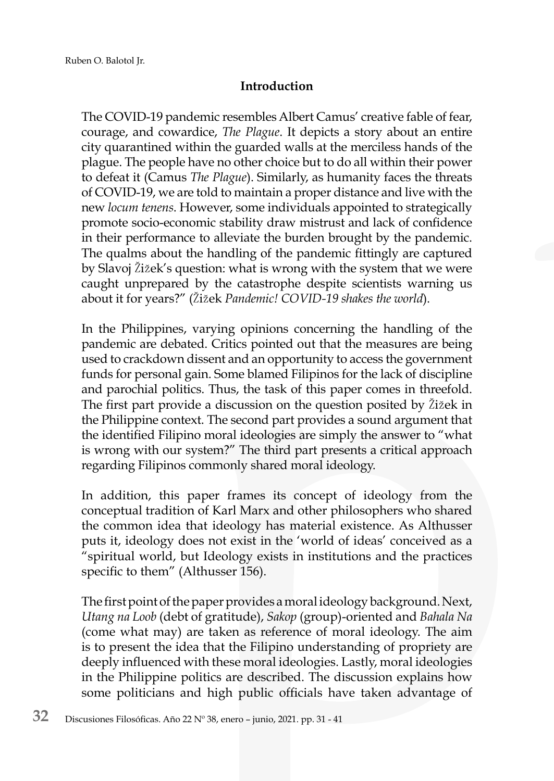# **Introduction**

The COVID-19 pandemic resembles Albert Camus' creative fable of fear, courage, and cowardice, *The Plague*. It depicts a story about an entire city quarantined within the guarded walls at the merciless hands of the plague. The people have no other choice but to do all within their power to defeat it (Camus *The Plague*). Similarly, as humanity faces the threats of COVID-19, we are told to maintain a proper distance and live with the new *locum tenens*. However, some individuals appointed to strategically promote socio-economic stability draw mistrust and lack of confidence in their performance to alleviate the burden brought by the pandemic. The qualms about the handling of the pandemic fittingly are captured by Slavoj Žižek's question: what is wrong with the system that we were caught unprepared by the catastrophe despite scientists warning us about it for years?" (Žižek *Pandemic! COVID-19 shakes the world*).

In the Philippines, varying opinions concerning the handling of the pandemic are debated. Critics pointed out that the measures are being used to crackdown dissent and an opportunity to access the government funds for personal gain. Some blamed Filipinos for the lack of discipline and parochial politics. Thus, the task of this paper comes in threefold. The first part provide a discussion on the question posited by Žižek in the Philippine context. The second part provides a sound argument that the identified Filipino moral ideologies are simply the answer to "what is wrong with our system?" The third part presents a critical approach regarding Filipinos commonly shared moral ideology.

In addition, this paper frames its concept of ideology from the conceptual tradition of Karl Marx and other philosophers who shared the common idea that ideology has material existence. As Althusser puts it, ideology does not exist in the 'world of ideas' conceived as a "spiritual world, but Ideology exists in institutions and the practices specific to them" (Althusser 156).

The first point of the paper provides a moral ideology background. Next, *Utang na Loob* (debt of gratitude), *Sakop* (group)-oriented and *Bahala Na* (come what may) are taken as reference of moral ideology. The aim is to present the idea that the Filipino understanding of propriety are deeply influenced with these moral ideologies. Lastly, moral ideologies in the Philippine politics are described. The discussion explains how some politicians and high public officials have taken advantage of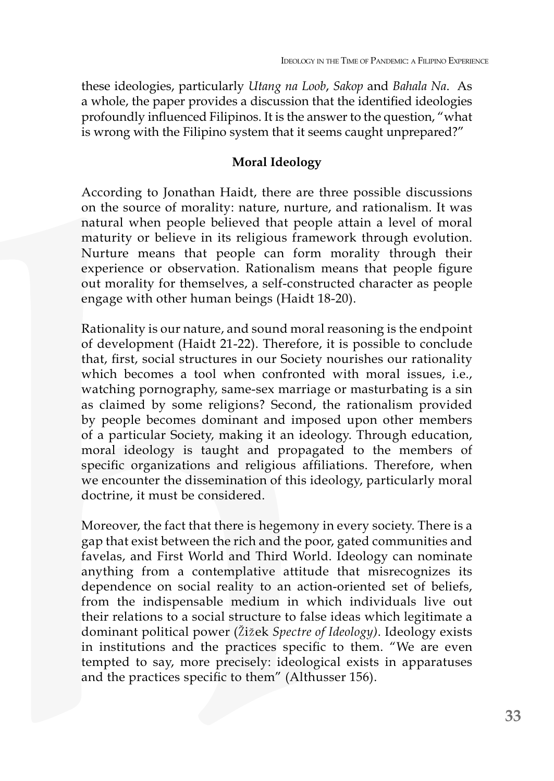these ideologies, particularly *Utang na Loob*, *Sakop* and *Bahala Na*. As a whole, the paper provides a discussion that the identified ideologies profoundly influenced Filipinos. It is the answer to the question, "what is wrong with the Filipino system that it seems caught unprepared?"

### **Moral Ideology**

According to Jonathan Haidt, there are three possible discussions on the source of morality: nature, nurture, and rationalism. It was natural when people believed that people attain a level of moral maturity or believe in its religious framework through evolution. Nurture means that people can form morality through their experience or observation. Rationalism means that people figure out morality for themselves, a self-constructed character as people engage with other human beings (Haidt 18-20).

Rationality is our nature, and sound moral reasoning is the endpoint of development (Haidt 21-22). Therefore, it is possible to conclude that, first, social structures in our Society nourishes our rationality which becomes a tool when confronted with moral issues, i.e., watching pornography, same-sex marriage or masturbating is a sin as claimed by some religions? Second, the rationalism provided by people becomes dominant and imposed upon other members of a particular Society, making it an ideology. Through education, moral ideology is taught and propagated to the members of specific organizations and religious affiliations. Therefore, when we encounter the dissemination of this ideology, particularly moral doctrine, it must be considered.

Moreover, the fact that there is hegemony in every society. There is a gap that exist between the rich and the poor, gated communities and favelas, and First World and Third World. Ideology can nominate anything from a contemplative attitude that misrecognizes its dependence on social reality to an action-oriented set of beliefs, from the indispensable medium in which individuals live out their relations to a social structure to false ideas which legitimate a dominant political power (Žižek *Spectre of Ideology)*. Ideology exists in institutions and the practices specific to them. "We are even tempted to say, more precisely: ideological exists in apparatuses and the practices specific to them" (Althusser 156).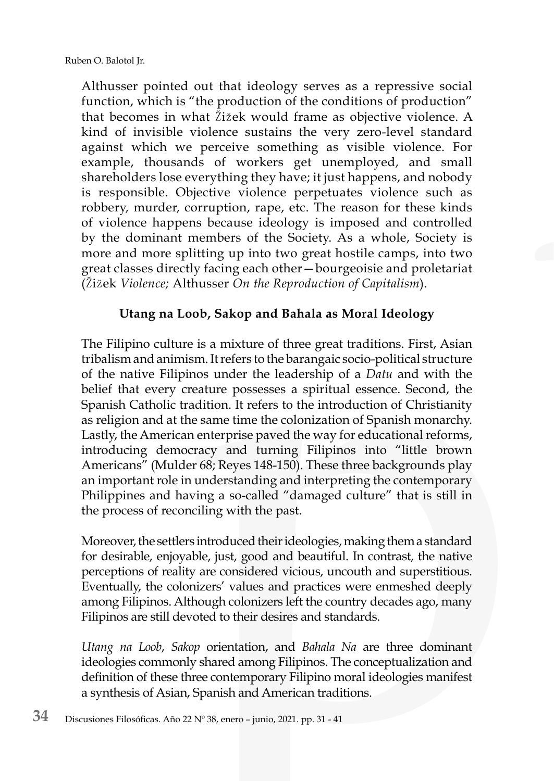Althusser pointed out that ideology serves as a repressive social function, which is "the production of the conditions of production" that becomes in what Žižek would frame as objective violence. A kind of invisible violence sustains the very zero-level standard against which we perceive something as visible violence. For example, thousands of workers get unemployed, and small shareholders lose everything they have; it just happens, and nobody is responsible. Objective violence perpetuates violence such as robbery, murder, corruption, rape, etc. The reason for these kinds of violence happens because ideology is imposed and controlled by the dominant members of the Society. As a whole, Society is more and more splitting up into two great hostile camps, into two great classes directly facing each other—bourgeoisie and proletariat (Žižek *Violence;* Althusser *On the Reproduction of Capitalism*).

# **Utang na Loob, Sakop and Bahala as Moral Ideology**

The Filipino culture is a mixture of three great traditions. First, Asian tribalism and animism. It refers to the barangaic socio-political structure of the native Filipinos under the leadership of a *Datu* and with the belief that every creature possesses a spiritual essence. Second, the Spanish Catholic tradition. It refers to the introduction of Christianity as religion and at the same time the colonization of Spanish monarchy. Lastly, the American enterprise paved the way for educational reforms, introducing democracy and turning Filipinos into "little brown Americans" (Mulder 68; Reyes 148-150). These three backgrounds play an important role in understanding and interpreting the contemporary Philippines and having a so-called "damaged culture" that is still in the process of reconciling with the past.

Moreover, the settlers introduced their ideologies, making them a standard for desirable, enjoyable, just, good and beautiful. In contrast, the native perceptions of reality are considered vicious, uncouth and superstitious. Eventually, the colonizers' values and practices were enmeshed deeply among Filipinos. Although colonizers left the country decades ago, many Filipinos are still devoted to their desires and standards.

*Utang na Loob*, *Sakop* orientation, and *Bahala Na* are three dominant ideologies commonly shared among Filipinos. The conceptualization and definition of these three contemporary Filipino moral ideologies manifest a synthesis of Asian, Spanish and American traditions.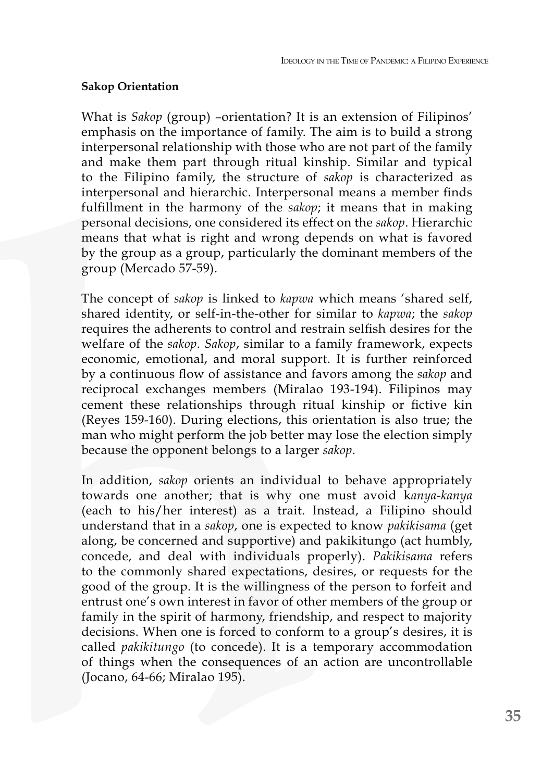### **Sakop Orientation**

What is *Sakop* (group) –orientation? It is an extension of Filipinos' emphasis on the importance of family. The aim is to build a strong interpersonal relationship with those who are not part of the family and make them part through ritual kinship. Similar and typical to the Filipino family, the structure of *sakop* is characterized as interpersonal and hierarchic. Interpersonal means a member finds fulfillment in the harmony of the *sakop*; it means that in making personal decisions, one considered its effect on the *sakop*. Hierarchic means that what is right and wrong depends on what is favored by the group as a group, particularly the dominant members of the group (Mercado 57-59).

The concept of *sakop* is linked to *kapwa* which means 'shared self, shared identity, or self-in-the-other for similar to *kapwa*; the *sakop* requires the adherents to control and restrain selfish desires for the welfare of the *sakop*. *Sakop*, similar to a family framework, expects economic, emotional, and moral support. It is further reinforced by a continuous flow of assistance and favors among the *sakop* and reciprocal exchanges members (Miralao 193-194). Filipinos may cement these relationships through ritual kinship or fictive kin (Reyes 159-160). During elections, this orientation is also true; the man who might perform the job better may lose the election simply because the opponent belongs to a larger *sakop*.

In addition, *sakop* orients an individual to behave appropriately towards one another; that is why one must avoid k*anya-kanya* (each to his/her interest) as a trait. Instead, a Filipino should understand that in a *sakop*, one is expected to know *pakikisama* (get along, be concerned and supportive) and pakikitungo (act humbly, concede, and deal with individuals properly). *Pakikisama* refers to the commonly shared expectations, desires, or requests for the good of the group. It is the willingness of the person to forfeit and entrust one's own interest in favor of other members of the group or family in the spirit of harmony, friendship, and respect to majority decisions. When one is forced to conform to a group's desires, it is called *pakikitungo* (to concede). It is a temporary accommodation of things when the consequences of an action are uncontrollable (Jocano, 64-66; Miralao 195).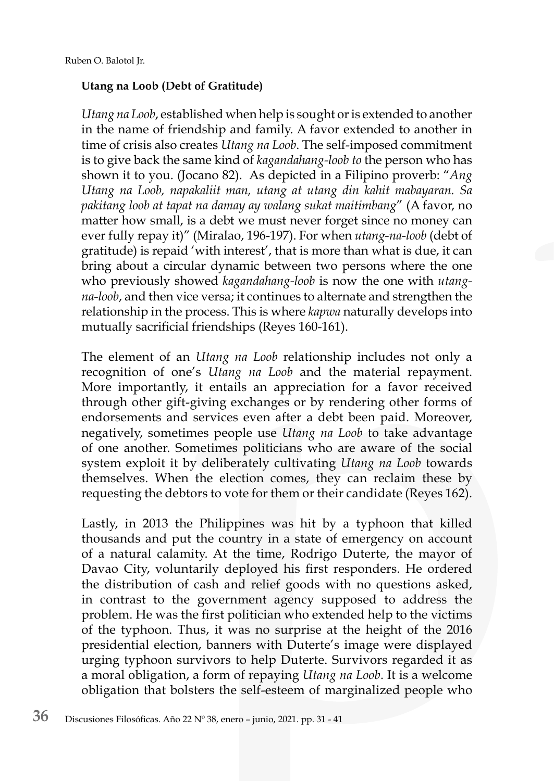# **Utang na Loob (Debt of Gratitude)**

*Utang na Loob*, established when help is sought or is extended to another in the name of friendship and family. A favor extended to another in time of crisis also creates *Utang na Loob*. The self-imposed commitment is to give back the same kind of *kagandahang-loob to* the person who has shown it to you. (Jocano 82). As depicted in a Filipino proverb: "*Ang Utang na Loob, napakaliit man, utang at utang din kahit mabayaran. Sa pakitang loob at tapat na damay ay walang sukat maitimbang*" (A favor, no matter how small, is a debt we must never forget since no money can ever fully repay it)" (Miralao, 196-197). For when *utang-na-loob* (debt of gratitude) is repaid 'with interest', that is more than what is due, it can bring about a circular dynamic between two persons where the one who previously showed *kagandahang-loob* is now the one with *utangna-loob*, and then vice versa; it continues to alternate and strengthen the relationship in the process. This is where *kapwa* naturally develops into mutually sacrificial friendships (Reyes 160-161).

The element of an *Utang na Loob* relationship includes not only a recognition of one's *Utang na Loob* and the material repayment. More importantly, it entails an appreciation for a favor received through other gift-giving exchanges or by rendering other forms of endorsements and services even after a debt been paid. Moreover, negatively, sometimes people use *Utang na Loob* to take advantage of one another. Sometimes politicians who are aware of the social system exploit it by deliberately cultivating *Utang na Loob* towards themselves. When the election comes, they can reclaim these by requesting the debtors to vote for them or their candidate (Reyes 162).

Lastly, in 2013 the Philippines was hit by a typhoon that killed thousands and put the country in a state of emergency on account of a natural calamity. At the time, Rodrigo Duterte, the mayor of Davao City, voluntarily deployed his first responders. He ordered the distribution of cash and relief goods with no questions asked, in contrast to the government agency supposed to address the problem. He was the first politician who extended help to the victims of the typhoon. Thus, it was no surprise at the height of the 2016 presidential election, banners with Duterte's image were displayed urging typhoon survivors to help Duterte. Survivors regarded it as a moral obligation, a form of repaying *Utang na Loob*. It is a welcome obligation that bolsters the self-esteem of marginalized people who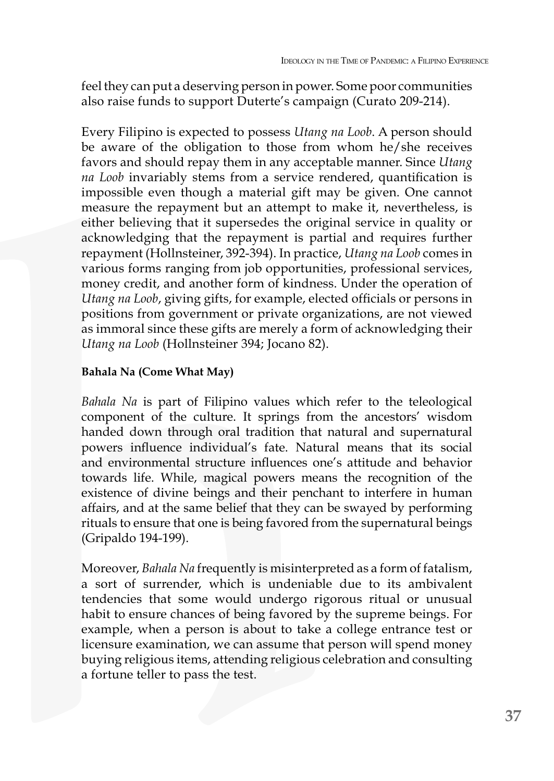feel they can put a deserving person in power. Some poor communities also raise funds to support Duterte's campaign (Curato 209-214).

Every Filipino is expected to possess *Utang na Loob*. A person should be aware of the obligation to those from whom he/she receives favors and should repay them in any acceptable manner. Since *Utang na Loob* invariably stems from a service rendered, quantification is impossible even though a material gift may be given. One cannot measure the repayment but an attempt to make it, nevertheless, is either believing that it supersedes the original service in quality or acknowledging that the repayment is partial and requires further repayment (Hollnsteiner, 392-394). In practice, *Utang na Loob* comes in various forms ranging from job opportunities, professional services, money credit, and another form of kindness. Under the operation of *Utang na Loob*, giving gifts, for example, elected officials or persons in positions from government or private organizations, are not viewed as immoral since these gifts are merely a form of acknowledging their *Utang na Loob* (Hollnsteiner 394; Jocano 82).

### **Bahala Na (Come What May)**

*Bahala Na* is part of Filipino values which refer to the teleological component of the culture. It springs from the ancestors' wisdom handed down through oral tradition that natural and supernatural powers influence individual's fate. Natural means that its social and environmental structure influences one's attitude and behavior towards life. While, magical powers means the recognition of the existence of divine beings and their penchant to interfere in human affairs, and at the same belief that they can be swayed by performing rituals to ensure that one is being favored from the supernatural beings (Gripaldo 194-199).

Moreover, *Bahala Na* frequently is misinterpreted as a form of fatalism, a sort of surrender, which is undeniable due to its ambivalent tendencies that some would undergo rigorous ritual or unusual habit to ensure chances of being favored by the supreme beings. For example, when a person is about to take a college entrance test or licensure examination, we can assume that person will spend money buying religious items, attending religious celebration and consulting a fortune teller to pass the test.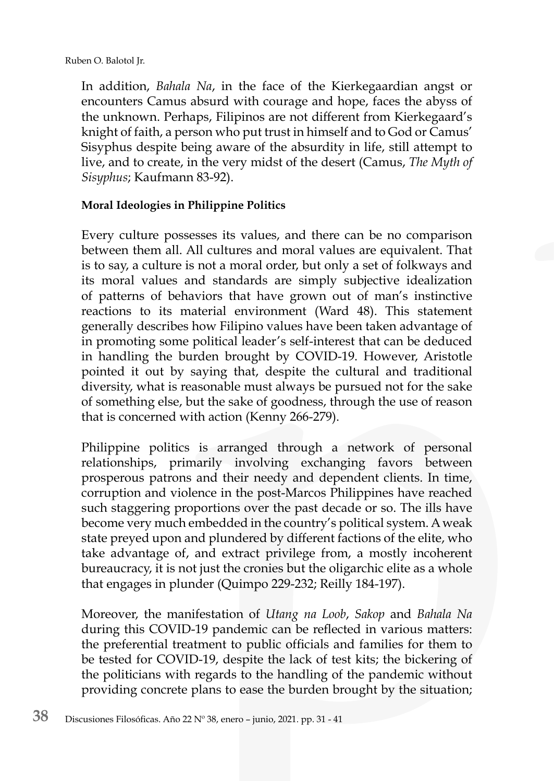In addition, *Bahala Na*, in the face of the Kierkegaardian angst or encounters Camus absurd with courage and hope, faces the abyss of the unknown. Perhaps, Filipinos are not different from Kierkegaard's knight of faith, a person who put trust in himself and to God or Camus' Sisyphus despite being aware of the absurdity in life, still attempt to live, and to create, in the very midst of the desert (Camus, *The Myth of Sisyphus*; Kaufmann 83-92).

# **Moral Ideologies in Philippine Politics**

Every culture possesses its values, and there can be no comparison between them all. All cultures and moral values are equivalent. That is to say, a culture is not a moral order, but only a set of folkways and its moral values and standards are simply subjective idealization of patterns of behaviors that have grown out of man's instinctive reactions to its material environment (Ward 48). This statement generally describes how Filipino values have been taken advantage of in promoting some political leader's self-interest that can be deduced in handling the burden brought by COVID-19. However, Aristotle pointed it out by saying that, despite the cultural and traditional diversity, what is reasonable must always be pursued not for the sake of something else, but the sake of goodness, through the use of reason that is concerned with action (Kenny 266-279).

Philippine politics is arranged through a network of personal relationships, primarily involving exchanging favors between prosperous patrons and their needy and dependent clients. In time, corruption and violence in the post-Marcos Philippines have reached such staggering proportions over the past decade or so. The ills have become very much embedded in the country's political system. A weak state preyed upon and plundered by different factions of the elite, who take advantage of, and extract privilege from, a mostly incoherent bureaucracy, it is not just the cronies but the oligarchic elite as a whole that engages in plunder (Quimpo 229-232; Reilly 184-197).

Moreover, the manifestation of *Utang na Loob*, *Sakop* and *Bahala Na* during this COVID-19 pandemic can be reflected in various matters: the preferential treatment to public officials and families for them to be tested for COVID-19, despite the lack of test kits; the bickering of the politicians with regards to the handling of the pandemic without providing concrete plans to ease the burden brought by the situation;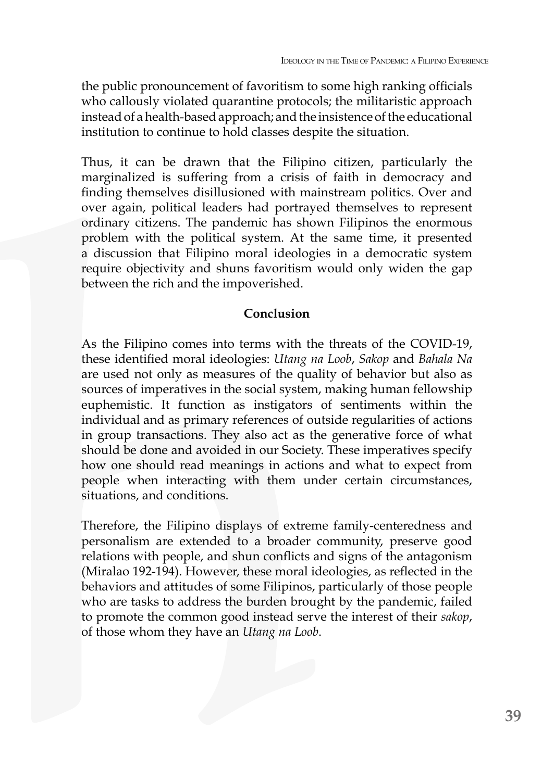the public pronouncement of favoritism to some high ranking officials who callously violated quarantine protocols; the militaristic approach instead of a health-based approach; and the insistence of the educational institution to continue to hold classes despite the situation.

Thus, it can be drawn that the Filipino citizen, particularly the marginalized is suffering from a crisis of faith in democracy and finding themselves disillusioned with mainstream politics. Over and over again, political leaders had portrayed themselves to represent ordinary citizens. The pandemic has shown Filipinos the enormous problem with the political system. At the same time, it presented a discussion that Filipino moral ideologies in a democratic system require objectivity and shuns favoritism would only widen the gap between the rich and the impoverished.

## **Conclusion**

As the Filipino comes into terms with the threats of the COVID-19, these identified moral ideologies: *Utang na Loob*, *Sakop* and *Bahala Na*  are used not only as measures of the quality of behavior but also as sources of imperatives in the social system, making human fellowship euphemistic. It function as instigators of sentiments within the individual and as primary references of outside regularities of actions in group transactions. They also act as the generative force of what should be done and avoided in our Society. These imperatives specify how one should read meanings in actions and what to expect from people when interacting with them under certain circumstances, situations, and conditions.

Therefore, the Filipino displays of extreme family-centeredness and personalism are extended to a broader community, preserve good relations with people, and shun conflicts and signs of the antagonism (Miralao 192-194). However, these moral ideologies, as reflected in the behaviors and attitudes of some Filipinos, particularly of those people who are tasks to address the burden brought by the pandemic, failed to promote the common good instead serve the interest of their *sakop*, of those whom they have an *Utang na Loob*.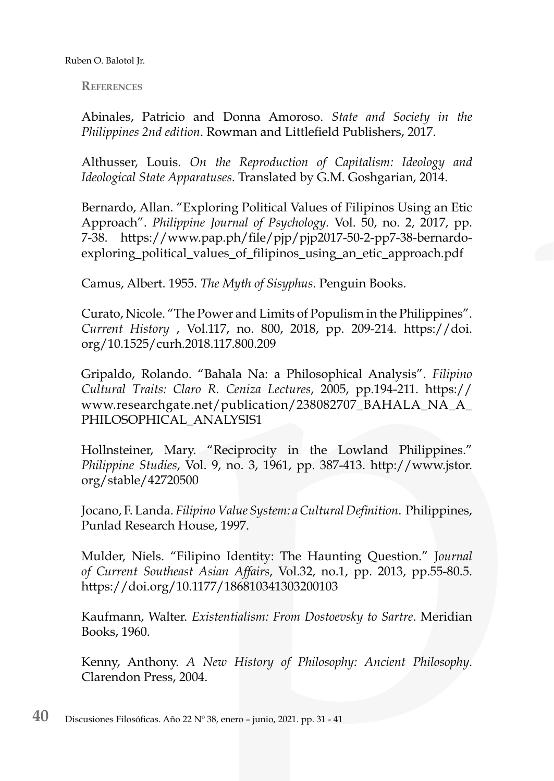**References**

Abinales, Patricio and Donna Amoroso. *State and Society in the Philippines 2nd edition*. Rowman and Littlefield Publishers, 2017.

Althusser, Louis. *On the Reproduction of Capitalism: Ideology and Ideological State Apparatuses*. Translated by G.M. Goshgarian, 2014.

Bernardo, Allan. "Exploring Political Values of Filipinos Using an Etic Approach". *Philippine Journal of Psychology.* Vol. 50, no. 2, 2017, pp. 7-38. https://www.pap.ph/file/pjp/pjp2017-50-2-pp7-38-bernardoexploring\_political\_values\_of\_filipinos\_using\_an\_etic\_approach.pdf

Camus, Albert. 1955. *The Myth of Sisyphus*. Penguin Books.

Curato, Nicole. "The Power and Limits of Populism in the Philippines". *Current History* , Vol.117, no. 800, 2018, pp. 209-214. https://doi. org/10.1525/curh.2018.117.800.209

Gripaldo, Rolando. "Bahala Na: a Philosophical Analysis". *Filipino Cultural Traits: Claro R. Ceniza Lectures*, 2005, pp.194-211. https:// www.researchgate.net/publication/238082707\_BAHALA\_NA\_A\_ PHILOSOPHICAL\_ANALYSIS1

Hollnsteiner, Mary. "Reciprocity in the Lowland Philippines." *Philippine Studies*, Vol. 9, no. 3, 1961, pp. 387-413. http://www.jstor. org/stable/42720500

Jocano, F. Landa. *Filipino Value System: a Cultural Definition*. Philippines, Punlad Research House, 1997.

Mulder, Niels. "Filipino Identity: The Haunting Question." J*ournal of Current Southeast Asian Affairs*, Vol.32, no.1, pp. 2013, pp.55-80.5. https://doi.org/10.1177/186810341303200103

Kaufmann, Walter. *Existentialism: From Dostoevsky to Sartre*. Meridian Books, 1960.

Kenny, Anthony. *A New History of Philosophy: Ancient Philosophy*. Clarendon Press, 2004.